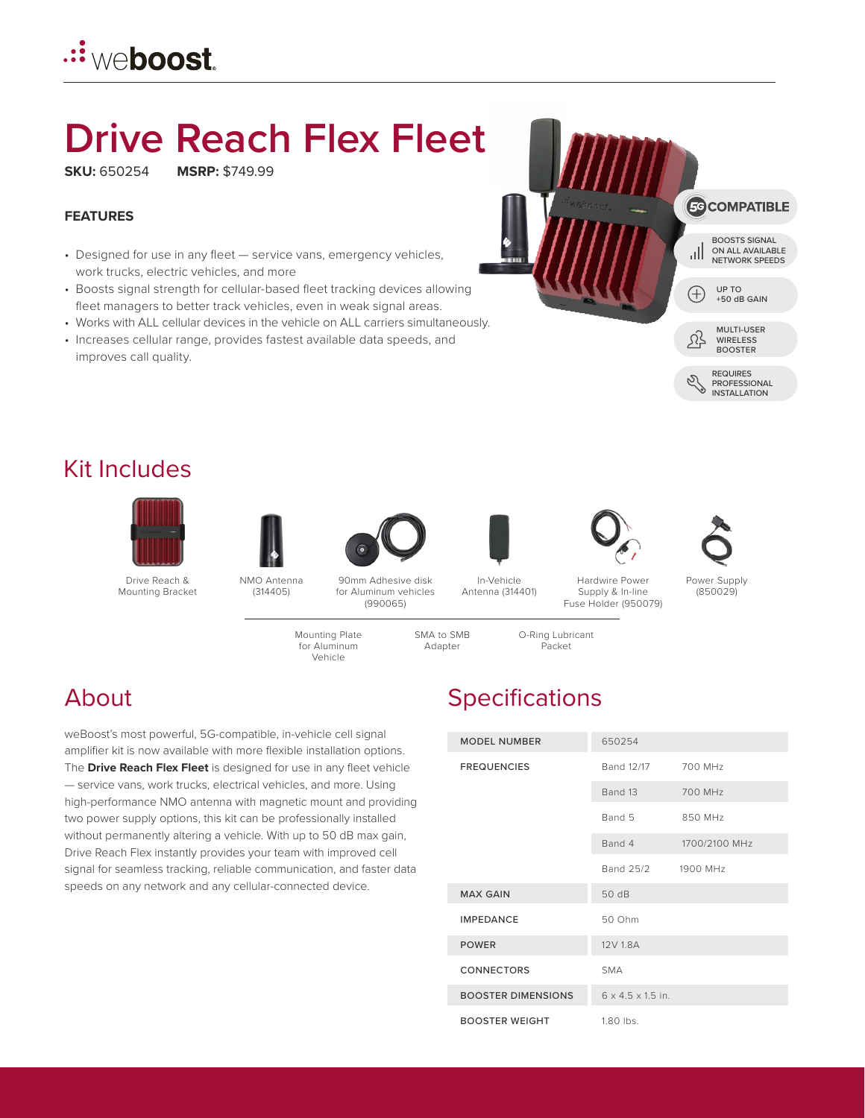## .::ٌ we**boost**.

# **Drive Reach Flex Fleet**

**SKU:** 650254 **MSRP:** \$749.99

### **FEATURES**

- Designed for use in any fleet service vans, emergency vehicles, work trucks, electric vehicles, and more
- Boosts signal strength for cellular-based fleet tracking devices allowing fleet managers to better track vehicles, even in weak signal areas.
- Works with ALL cellular devices in the vehicle on ALL carriers simultaneously.
- Increases cellular range, provides fastest available data speeds, and improves call quality.



### Kit Includes



Drive Reach & Mounting Bracket





90mm Adhesive disk for Aluminum vehicles (990065)

In-Vehicle Antenna (314401)

SMA to SMB Adapter

Supply & In-line Fuse Holder (950079)

O-Ring Lubricant Packet





(850029)

Mounting Plate for Aluminum

Vehicle

weBoost's most powerful, 5G-compatible, in-vehicle cell signal amplifier kit is now available with more flexible installation options. The **Drive Reach Flex Fleet** is designed for use in any fleet vehicle — service vans, work trucks, electrical vehicles, and more. Using high-performance NMO antenna with magnetic mount and providing two power supply options, this kit can be professionally installed without permanently altering a vehicle. With up to 50 dB max gain, Drive Reach Flex instantly provides your team with improved cell signal for seamless tracking, reliable communication, and faster data speeds on any network and any cellular-connected device.

## About Specifications

| <b>MODEL NUMBER</b>       | 650254                        |               |
|---------------------------|-------------------------------|---------------|
| <b>FREQUENCIES</b>        | Band 12/17                    | 700 MHz       |
|                           | Band 13                       | 700 MHz       |
|                           | Band 5                        | 850 MHz       |
|                           | Band 4                        | 1700/2100 MHz |
|                           | Band 25/2                     | 1900 MHz      |
| <b>MAX GAIN</b>           | 50 dB                         |               |
| <b>IMPEDANCE</b>          | 50 Ohm                        |               |
| <b>POWER</b>              | 12V 1.8A                      |               |
| <b>CONNECTORS</b>         | <b>SMA</b>                    |               |
| <b>BOOSTER DIMENSIONS</b> | $6 \times 4.5 \times 1.5$ in. |               |
| <b>BOOSTER WEIGHT</b>     | 1.80 lbs.                     |               |